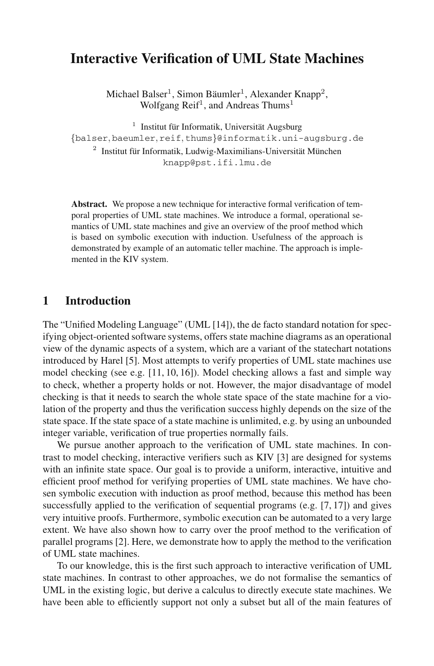# **Interactive Verification of UML State Machines**

Michael Balser<sup>1</sup>, Simon Bäumler<sup>1</sup>, Alexander Knapp<sup>2</sup>, Wolfgang Reif<sup>1</sup>, and Andreas Thums<sup>1</sup>

<sup>1</sup> Institut für Informatik, Universität Augsburg {balser, baeumler, reif, thums}@informatik.uni-augsburg.de

 $2$  Institut für Informatik, Ludwig-Maximilians-Universität München knapp@pst.ifi.lmu.de

**Abstract.** We propose a new technique for interactive formal verification of temporal properties of UML state machines. We introduce a formal, operational semantics of UML state machines and give an overview of the proof method which is based on symbolic execution with induction. Usefulness of the approach is demonstrated by example of an automatic teller machine. The approach is implemented in the KIV system.

### **1 Introduction**

The "Unified Modeling Language" (UML [14]), the de facto standard notation for specifying object-oriented software systems, offers state machine diagrams as an operational view of the dynamic aspects of a system, which are a variant of the statechart notations introduced by Harel [5]. Most attempts to verify properties of UML state machines use model checking (see e.g. [11, 10, 16]). Model checking allows a fast and simple way to check, whether a property holds or not. However, the major disadvantage of model checking is that it needs to search the whole state space of the state machine for a violation of the property and thus the verification success highly depends on the size of the state space. If the state space of a state machine is unlimited, e.g. by using an unbounded integer variable, verification of true properties normally fails.

We pursue another approach to the verification of UML state machines. In contrast to model checking, interactive verifiers such as KIV [3] are designed for systems with an infinite state space. Our goal is to provide a uniform, interactive, intuitive and efficient proof method for verifying properties of UML state machines. We have chosen symbolic execution with induction as proof method, because this method has been successfully applied to the verification of sequential programs (e.g.  $[7, 17]$ ) and gives very intuitive proofs. Furthermore, symbolic execution can be automated to a very large extent. We have also shown how to carry over the proof method to the verification of parallel programs [2]. Here, we demonstrate how to apply the method to the verification of UML state machines.

To our knowledge, this is the first such approach to interactive verification of UML state machines. In contrast to other approaches, we do not formalise the semantics of UML in the existing logic, but derive a calculus to directly execute state machines. We have been able to efficiently support not only a subset but all of the main features of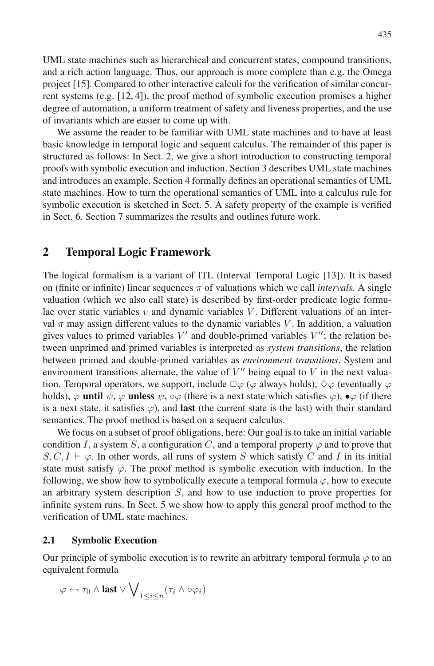UML state machines such as hierarchical and concurrent states, compound transitions, and a rich action language. Thus, our approach is more complete than e.g. the Omega project [15]. Compared to other interactive calculi for the verification of similar concurrent systems (e.g. [12, 4]), the proof method of symbolic execution promises a higher degree of automation, a uniform treatment of safety and liveness properties, and the use of invariants which are easier to come up with.

We assume the reader to be familiar with UML state machines and to have at least basic knowledge in temporal logic and sequent calculus. The remainder of this paper is structured as follows: In Sect. 2, we give a short introduction to constructing temporal proofs with symbolic execution and induction. Section 3 describes UML state machines and introduces an example. Section 4 formally defines an operational semantics of UML state machines. How to turn the operational semantics of UML into a calculus rule for symbolic execution is sketched in Sect. 5. A safety property of the example is verified in Sect. 6. Section 7 summarizes the results and outlines future work.

### **2 Temporal Logic Framework**

The logical formalism is a variant of ITL (Interval Temporal Logic [13]). It is based on (finite or infinite) linear sequences  $\pi$  of valuations which we call *intervals*. A single valuation (which we also call state) is described by first-order predicate logic formulae over static variables  $v$  and dynamic variables  $V$ . Different valuations of an interval  $\pi$  may assign different values to the dynamic variables V. In addition, a valuation gives values to primed variables  $V'$  and double-primed variables  $V''$ ; the relation between unprimed and primed variables is interpreted as *system transitions*, the relation between primed and double-primed variables as *environment transitions*. System and environment transitions alternate, the value of  $V''$  being equal to  $V$  in the next valuation. Temporal operators, we support, include  $\Box \varphi$  ( $\varphi$  always holds),  $\diamond \varphi$  (eventually  $\varphi$ holds),  $\varphi$  **until**  $\psi$ ,  $\varphi$  **unless**  $\psi$ ,  $\circ \varphi$  (there is a next state which satisfies  $\varphi$ ),  $\bullet \varphi$  (if there is a next state, it satisfies  $\varphi$ ), and **last** (the current state is the last) with their standard semantics. The proof method is based on a sequent calculus.

We focus on a subset of proof obligations, here: Our goal is to take an initial variable condition I, a system S, a configuration C, and a temporal property  $\varphi$  and to prove that  $S, C, I \vdash \varphi$ . In other words, all runs of system S which satisfy C and I in its initial state must satisfy  $\varphi$ . The proof method is symbolic execution with induction. In the following, we show how to symbolically execute a temporal formula  $\varphi$ , how to execute an arbitrary system description S, and how to use induction to prove properties for infinite system runs. In Sect. 5 we show how to apply this general proof method to the verification of UML state machines.

#### **2.1 Symbolic Execution**

Our principle of symbolic execution is to rewrite an arbitrary temporal formula  $\varphi$  to an equivalent formula

$$
\varphi \leftrightarrow \tau_0 \wedge \textbf{last} \vee \bigvee\nolimits_{1 \leq i \leq n} (\tau_i \wedge \circ \varphi_i)
$$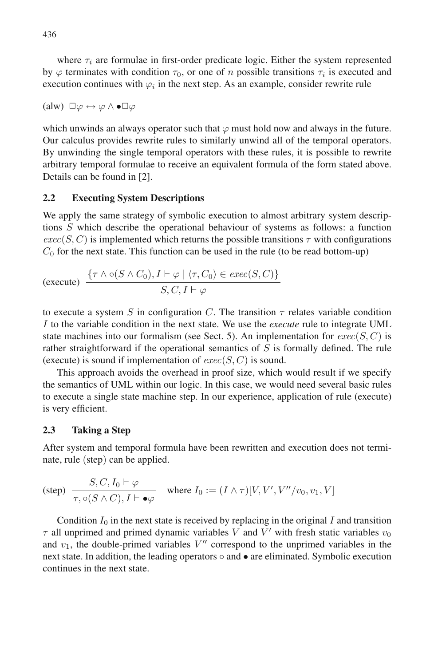where  $\tau_i$  are formulae in first-order predicate logic. Either the system represented by  $\varphi$  terminates with condition  $\tau_0$ , or one of n possible transitions  $\tau_i$  is executed and execution continues with  $\varphi_i$  in the next step. As an example, consider rewrite rule

$$
(alw) \ \Box \varphi \leftrightarrow \varphi \land \bullet \Box \varphi
$$

which unwinds an always operator such that  $\varphi$  must hold now and always in the future. Our calculus provides rewrite rules to similarly unwind all of the temporal operators. By unwinding the single temporal operators with these rules, it is possible to rewrite arbitrary temporal formulae to receive an equivalent formula of the form stated above. Details can be found in [2].

### **2.2 Executing System Descriptions**

We apply the same strategy of symbolic execution to almost arbitrary system descriptions S which describe the operational behaviour of systems as follows: a function  $exec(S, C)$  is implemented which returns the possible transitions  $\tau$  with configurations  $C_0$  for the next state. This function can be used in the rule (to be read bottom-up)

(execute) 
$$
\frac{\{\tau \wedge \circ (S \wedge C_0), I \vdash \varphi \mid \langle \tau, C_0 \rangle \in exec(S, C)\}}{S, C, I \vdash \varphi}
$$

to execute a system S in configuration C. The transition  $\tau$  relates variable condition I to the variable condition in the next state. We use the *execute* rule to integrate UML state machines into our formalism (see Sect. 5). An implementation for  $exec(S, C)$  is rather straightforward if the operational semantics of S is formally defined. The rule (execute) is sound if implementation of  $exec(S, C)$  is sound.

This approach avoids the overhead in proof size, which would result if we specify the semantics of UML within our logic. In this case, we would need several basic rules to execute a single state machine step. In our experience, application of rule (execute) is very efficient.

#### **2.3 Taking a Step**

After system and temporal formula have been rewritten and execution does not terminate, rule (step) can be applied.

$$
\text{(step)} \quad \frac{S, C, I_0 \vdash \varphi}{\tau, \circ (S \land C), I \vdash \bullet \varphi} \quad \text{where } I_0 := (I \land \tau)[V, V', V''/v_0, v_1, V]
$$

Condition  $I_0$  in the next state is received by replacing in the original I and transition  $\tau$  all unprimed and primed dynamic variables V and V' with fresh static variables  $v_0$ and  $v_1$ , the double-primed variables  $V''$  correspond to the unprimed variables in the next state. In addition, the leading operators ∘ and • are eliminated. Symbolic execution continues in the next state.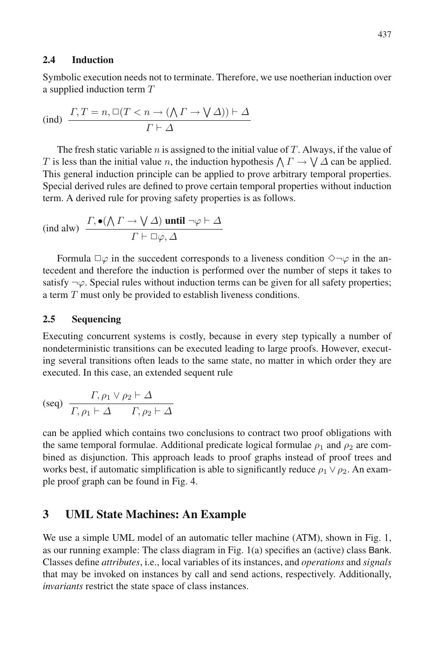#### **2.4 Induction**

Symbolic execution needs not to terminate. Therefore, we use noetherian induction over a supplied induction term T

$$
\text{(ind)} \quad \frac{\Gamma, T = n, \Box(T < n \to (\bigwedge \Gamma \to \bigvee \Delta)) \vdash \Delta}{\Gamma \vdash \Delta}
$$

The fresh static variable n is assigned to the initial value of T. Always, if the value of T is less than the initial value n, the induction hypothesis  $\bigwedge \Gamma \to \bigvee \Delta$  can be applied. This general induction principle can be applied to prove arbitrary temporal properties. Special derived rules are defined to prove certain temporal properties without induction term. A derived rule for proving safety properties is as follows.

$$
\text{(ind alw)} \quad \frac{\Gamma, \bullet(\bigwedge \Gamma \to \bigvee \Delta) \text{ until } \neg \varphi \vdash \Delta}{\Gamma \vdash \Box \varphi, \Delta}
$$

Formula  $\Box \varphi$  in the succedent corresponds to a liveness condition  $\Diamond \neg \varphi$  in the antecedent and therefore the induction is performed over the number of steps it takes to satisfy  $\neg \varphi$ . Special rules without induction terms can be given for all safety properties; a term T must only be provided to establish liveness conditions.

### **2.5 Sequencing**

Executing concurrent systems is costly, because in every step typically a number of nondeterministic transitions can be executed leading to large proofs. However, executing several transitions often leads to the same state, no matter in which order they are executed. In this case, an extended sequent rule

$$
\text{(seq)} \quad \frac{\Gamma, \rho_1 \lor \rho_2 \vdash \Delta}{\Gamma, \rho_1 \vdash \Delta \quad \Gamma, \rho_2 \vdash \Delta}
$$

can be applied which contains two conclusions to contract two proof obligations with the same temporal formulae. Additional predicate logical formulae  $\rho_1$  and  $\rho_2$  are combined as disjunction. This approach leads to proof graphs instead of proof trees and works best, if automatic simplification is able to significantly reduce  $\rho_1 \vee \rho_2$ . An example proof graph can be found in Fig. 4.

## **3 UML State Machines: An Example**

We use a simple UML model of an automatic teller machine (ATM), shown in Fig. 1, as our running example: The class diagram in Fig. 1(a) specifies an (active) class Bank. Classes define *attributes*, i.e., local variables of its instances, and *operations* and *signals* that may be invoked on instances by call and send actions, respectively. Additionally, *invariants* restrict the state space of class instances.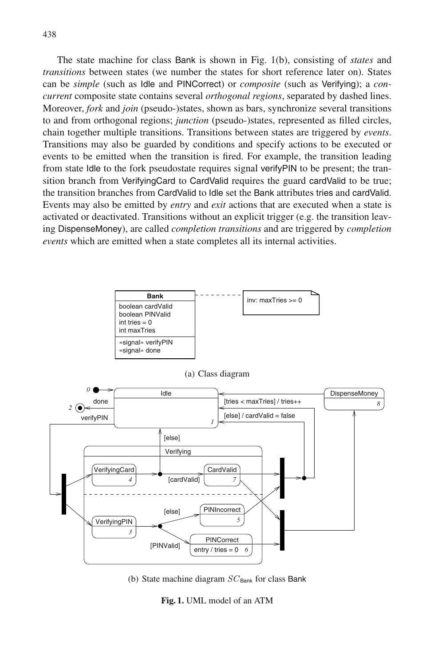The state machine for class Bank is shown in Fig. 1(b), consisting of *states* and *transitions* between states (we number the states for short reference later on). States can be *simple* (such as Idle and PINCorrect) or *composite* (such as Verifying); a *concurrent* composite state contains several *orthogonal regions*, separated by dashed lines. Moreover, *fork* and *join* (pseudo-)states, shown as bars, synchronize several transitions to and from orthogonal regions; *junction* (pseudo-)states, represented as filled circles, chain together multiple transitions. Transitions between states are triggered by *events*. Transitions may also be guarded by conditions and specify actions to be executed or events to be emitted when the transition is fired. For example, the transition leading from state Idle to the fork pseudostate requires signal verifyPIN to be present; the transition branch from VerifyingCard to CardValid requires the guard cardValid to be true; the transition branches from CardValid to Idle set the Bank attributes tries and cardValid. Events may also be emitted by *entry* and *exit* actions that are executed when a state is activated or deactivated. Transitions without an explicit trigger (e.g. the transition leaving DispenseMoney), are called *completion transitions* and are triggered by *completion events* which are emitted when a state completes all its internal activities.



(a) Class diagram



(b) State machine diagram  $SC_{Bank}$  for class Bank

**Fig. 1.** UML model of an ATM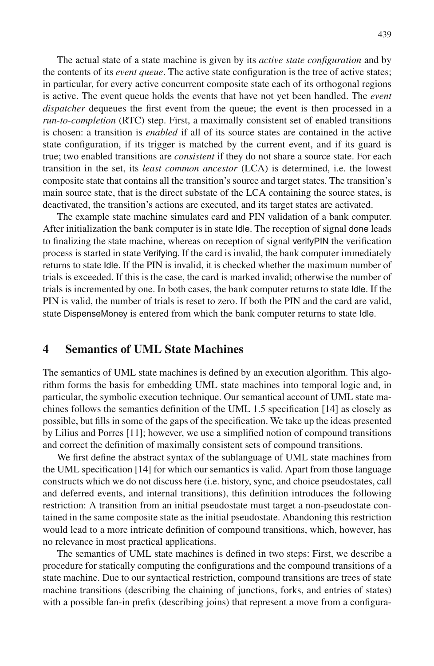The actual state of a state machine is given by its *active state configuration* and by the contents of its *event queue*. The active state configuration is the tree of active states; in particular, for every active concurrent composite state each of its orthogonal regions is active. The event queue holds the events that have not yet been handled. The *event dispatcher* dequeues the first event from the queue; the event is then processed in a *run-to-completion* (RTC) step. First, a maximally consistent set of enabled transitions is chosen: a transition is *enabled* if all of its source states are contained in the active state configuration, if its trigger is matched by the current event, and if its guard is true; two enabled transitions are *consistent* if they do not share a source state. For each transition in the set, its *least common ancestor* (LCA) is determined, i.e. the lowest composite state that contains all the transition's source and target states. The transition's main source state, that is the direct substate of the LCA containing the source states, is deactivated, the transition's actions are executed, and its target states are activated.

The example state machine simulates card and PIN validation of a bank computer. After initialization the bank computer is in state Idle. The reception of signal done leads to finalizing the state machine, whereas on reception of signal verifyPIN the verification process is started in state Verifying. If the card is invalid, the bank computer immediately returns to state Idle. If the PIN is invalid, it is checked whether the maximum number of trials is exceeded. If this is the case, the card is marked invalid; otherwise the number of trials is incremented by one. In both cases, the bank computer returns to state Idle. If the PIN is valid, the number of trials is reset to zero. If both the PIN and the card are valid, state DispenseMoney is entered from which the bank computer returns to state Idle.

### **4 Semantics of UML State Machines**

The semantics of UML state machines is defined by an execution algorithm. This algorithm forms the basis for embedding UML state machines into temporal logic and, in particular, the symbolic execution technique. Our semantical account of UML state machines follows the semantics definition of the UML 1.5 specification [14] as closely as possible, but fills in some of the gaps of the specification. We take up the ideas presented by Lilius and Porres [11]; however, we use a simplified notion of compound transitions and correct the definition of maximally consistent sets of compound transitions.

We first define the abstract syntax of the sublanguage of UML state machines from the UML specification [14] for which our semantics is valid. Apart from those language constructs which we do not discuss here (i.e. history, sync, and choice pseudostates, call and deferred events, and internal transitions), this definition introduces the following restriction: A transition from an initial pseudostate must target a non-pseudostate contained in the same composite state as the initial pseudostate. Abandoning this restriction would lead to a more intricate definition of compound transitions, which, however, has no relevance in most practical applications.

The semantics of UML state machines is defined in two steps: First, we describe a procedure for statically computing the configurations and the compound transitions of a state machine. Due to our syntactical restriction, compound transitions are trees of state machine transitions (describing the chaining of junctions, forks, and entries of states) with a possible fan-in prefix (describing joins) that represent a move from a configura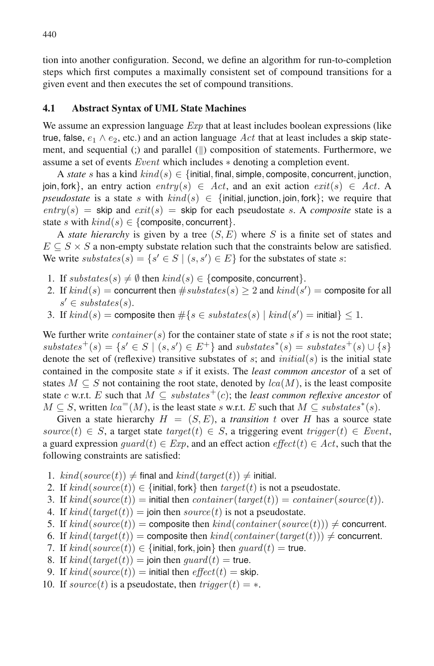tion into another configuration. Second, we define an algorithm for run-to-completion steps which first computes a maximally consistent set of compound transitions for a given event and then executes the set of compound transitions.

#### **4.1 Abstract Syntax of UML State Machines**

We assume an expression language  $Exp$  that at least includes boolean expressions (like true, false,  $e_1 \wedge e_2$ , etc.) and an action language Act that at least includes a skip statement, and sequential (;) and parallel  $(\parallel)$  composition of statements. Furthermore, we assume a set of events Event which includes ∗ denoting a completion event.

A *state* s has a kind  $kind(s) \in \{$  initial, final, simple, composite, concurrent, junction, join, fork}, an entry action  $entry(s) \in Act$ , and an exit action  $exit(s) \in Act$ . A *pseudostate* is a state s with  $kind(s) \in \{initial, junction,join,fork\}$ ; we require that  $\text{entry}(s) =$  skip and  $\text{exit}(s) =$  skip for each pseudostate s. A *composite* state is a state s with  $kind(s) \in \{composite, concurrent\}.$ 

A *state hierarchy* is given by a tree  $(S, E)$  where S is a finite set of states and  $E \subseteq S \times S$  a non-empty substate relation such that the constraints below are satisfied. We write  $\mathit{substates}(s) = \{s' \in S \mid (s, s') \in E\}$  for the substates of state  $s$ :

- 1. If  $substates(s) \neq \emptyset$  then  $kind(s) \in \{composite, concurrent\}.$
- 2. If  $\text{kind}(s) =$  concurrent then  $\text{#substates}(s) \geq 2$  and  $\text{kind}(s') =$  composite for all  $s' \in \textit{substates}(s)$ .
- 3. If  $\text{kind}(s) = \text{composite}$  then  $\#\{s \in \text{substates}(s) \mid \text{kind}(s') = \text{initial}\} \leq 1$ .

We further write  $container(s)$  for the container state of state s if s is not the root state;  $\mathit{substates}^+(s) = \{s' \in S \mid (s, s') \in E^+\}$  and  $\mathit{substates}^*(s) = \mathit{substates}^+(s) \cup \{s\}$ denote the set of (reflexive) transitive substates of  $s$ ; and  $initial(s)$  is the initial state contained in the composite state s if it exists. The *least common ancestor* of a set of states  $M \subseteq S$  not containing the root state, denoted by  $lca(M)$ , is the least composite state c w.r.t. E such that  $M \subseteq \textit{substates}^+(c)$ ; the *least common reflexive ancestor* of  $M \subseteq S$ , written  $lca^=(M)$ , is the least state s w.r.t. E such that  $M \subseteq \textit{substates}^*(s)$ .

Given a state hierarchy  $H = (S, E)$ , a *transition* t over H has a source state source(t)  $\in S$ , a target state  $target(t) \in S$ , a triggering event  $trigger(t) \in Event$ , a guard expression  $quard(t) \in Exp$ , and an effect action  $effect(t) \in Act$ , such that the following constraints are satisfied:

- 1.  $kind(source(t)) \neq final$  and  $kind(target(t)) \neq initial$ .
- 2. If  $kind(source(t)) \in \{initial, fork\}$  then  $target(t)$  is not a pseudostate.
- 3. If  $kind(source(t)) = initial then container(target(t)) = container(source(t)).$
- 4. If  $kind(target(t)) = join then source(t)$  is not a pseudostate.
- 5. If  $kind(source(t)) =$  composite then  $kind(container(source(t))) \neq$  concurrent.
- 6. If  $kind(target(t)) =$  composite then  $kind(constinner(target(t))) \neq$  concurrent.
- 7. If  $kind(source(t)) \in \{initial, fork, join\}$  then  $guard(t) = true$ .
- 8. If  $kind(target(t)) = join$  then  $guard(t) = true$ .
- 9. If  $kind(source(t)) =$  initial then  $effect(t) =$  skip.
- 10. If source(t) is a pseudostate, then  $trigger(t) = *$ .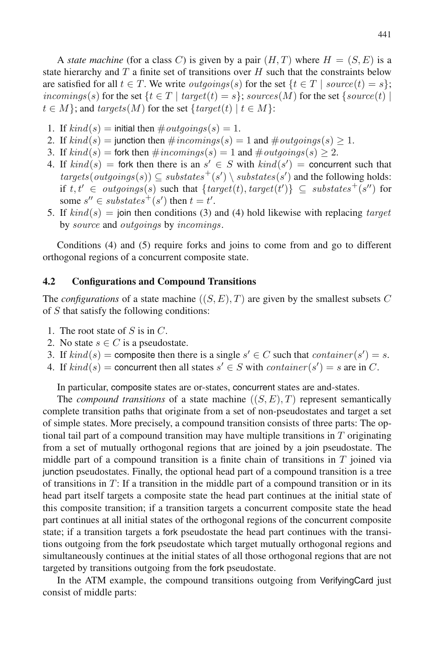A *state machine* (for a class C) is given by a pair  $(H, T)$  where  $H = (S, E)$  is a state hierarchy and  $T$  a finite set of transitions over  $H$  such that the constraints below are satisfied for all  $t \in T$ . We write *outgoings(s)* for the set  $\{t \in T \mid source(t) = s\};$ incomings(s) for the set  $\{t \in T \mid target(t) = s\}$ ; sources(M) for the set  $\{source(t) \mid$  $t \in M$ ; and  $tarets(M)$  for the set  $\{target(t) | t \in M\}$ :

- 1. If  $kind(s) = initial$  then  $\#outgoing(s) = 1$ .
- 2. If  $kind(s) =$  junction then  $\#incomings(s) = 1$  and  $\#outgoing(s) \geq 1$ .
- 3. If  $kind(s) =$  fork then  $\#incomings(s) = 1$  and  $\#outgoing(s) \geq 2$ .
- 4. If  $\text{kind}(s) = \text{fork}$  then there is an  $s' \in S$  with  $\text{kind}(s') = \text{concurrent}$  such that  $targets(outgoing(s)) \subseteq subsets^{+}(s') \setminus subsets(s')$  and the following holds: if  $t, t' \in outgoing(s)$  such that  ${target(t), target(t')} \subseteq \textit{substates}^+(s'')$  for some  $s'' \in \textit{substates}^+(s')$  then  $t = t'$ .
- 5. If  $kind(s) = join$  then conditions (3) and (4) hold likewise with replacing target by source and outgoings by incomings.

Conditions (4) and (5) require forks and joins to come from and go to different orthogonal regions of a concurrent composite state.

### **4.2 Configurations and Compound Transitions**

The *configurations* of a state machine  $((S, E), T)$  are given by the smallest subsets C of S that satisfy the following conditions:

- 1. The root state of  $S$  is in  $C$ .
- 2. No state  $s \in C$  is a pseudostate.
- 3. If  $kind(s) = \text{composite}$  then there is a single  $s' \in C$  such that  $container(s') = s$ .
- 4. If  $\text{kind}(s) = \text{concurrent}$  then all states  $s' \in S$  with  $\text{container}(s') = s$  are in C.

In particular, composite states are or-states, concurrent states are and-states.

The *compound transitions* of a state machine  $((S, E), T)$  represent semantically complete transition paths that originate from a set of non-pseudostates and target a set of simple states. More precisely, a compound transition consists of three parts: The optional tail part of a compound transition may have multiple transitions in  $T$  originating from a set of mutually orthogonal regions that are joined by a join pseudostate. The middle part of a compound transition is a finite chain of transitions in  $T$  joined via junction pseudostates. Finally, the optional head part of a compound transition is a tree of transitions in  $T$ : If a transition in the middle part of a compound transition or in its head part itself targets a composite state the head part continues at the initial state of this composite transition; if a transition targets a concurrent composite state the head part continues at all initial states of the orthogonal regions of the concurrent composite state; if a transition targets a fork pseudostate the head part continues with the transitions outgoing from the fork pseudostate which target mutually orthogonal regions and simultaneously continues at the initial states of all those orthogonal regions that are not targeted by transitions outgoing from the fork pseudostate.

In the ATM example, the compound transitions outgoing from VerifyingCard just consist of middle parts: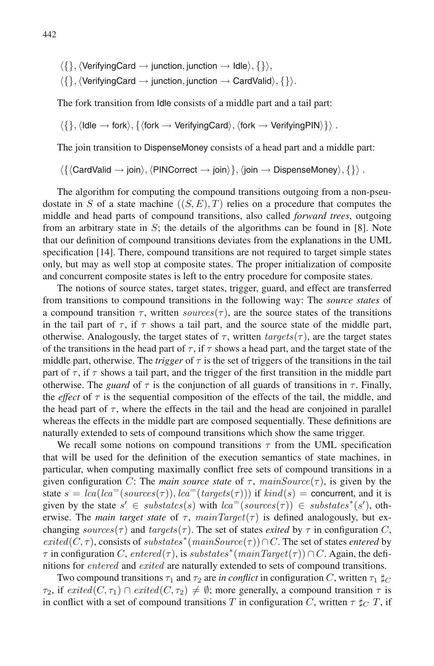- $\langle \{\},\langle \text{VerifyingCard} \rightarrow \text{junction}, \text{junction} \rightarrow \text{idle}\rangle,\{\}\rangle$ ,
- $\langle \{\},\langle \text{VerifyingCard} \rightarrow \text{junction}, \text{junction} \rightarrow \text{CardValid}\rangle,\{\}\rangle.$

The fork transition from Idle consists of a middle part and a tail part:

 $\langle \{\}, \langle \text{Idle} \rightarrow \text{fork}\rangle, \{\langle \text{fork} \rightarrow \text{VerifyingCard}\rangle, \langle \text{fork} \rightarrow \text{VerifyingPIN}\rangle\} \rangle.$ 

The join transition to DispenseMoney consists of a head part and a middle part:

 $\langle \{\langle \text{CardValid} \rightarrow \text{join} \rangle, \langle \text{PINCorrect} \rightarrow \text{join} \rangle\}, \langle \text{join} \rightarrow \text{DispenseMoney} \rangle, \{\} \rangle$ .

The algorithm for computing the compound transitions outgoing from a non-pseudostate in S of a state machine  $((S, E), T)$  relies on a procedure that computes the middle and head parts of compound transitions, also called *forward trees*, outgoing from an arbitrary state in  $S$ ; the details of the algorithms can be found in [8]. Note that our definition of compound transitions deviates from the explanations in the UML specification [14]. There, compound transitions are not required to target simple states only, but may as well stop at composite states. The proper initialization of composite and concurrent composite states is left to the entry procedure for composite states.

The notions of source states, target states, trigger, guard, and effect are transferred from transitions to compound transitions in the following way: The *source states* of a compound transition  $\tau$ , written sources( $\tau$ ), are the source states of the transitions in the tail part of  $\tau$ , if  $\tau$  shows a tail part, and the source state of the middle part, otherwise. Analogously, the target states of  $\tau$ , written  $targets(\tau)$ , are the target states of the transitions in the head part of  $\tau$ , if  $\tau$  shows a head part, and the target state of the middle part, otherwise. The *trigger* of  $\tau$  is the set of triggers of the transitions in the tail part of  $\tau$ , if  $\tau$  shows a tail part, and the trigger of the first transition in the middle part otherwise. The *guard* of  $\tau$  is the conjunction of all guards of transitions in  $\tau$ . Finally, the *effect* of  $\tau$  is the sequential composition of the effects of the tail, the middle, and the head part of  $\tau$ , where the effects in the tail and the head are conjoined in parallel whereas the effects in the middle part are composed sequentially. These definitions are naturally extended to sets of compound transitions which show the same trigger.

We recall some notions on compound transitions  $\tau$  from the UML specification that will be used for the definition of the execution semantics of state machines, in particular, when computing maximally conflict free sets of compound transitions in a given configuration C: The *main source state* of  $\tau$ ,  $mainSource(\tau)$ , is given by the state  $s = \text{lca}(\text{lca}^=(\text{sources}(\tau)), \text{lca}^=(\text{targets}(\tau)))$  if  $\text{kind}(s) =$  concurrent, and it is given by the state  $s' \in \textit{substates}(s)$  with  $\textit{lca}^{\equiv}(\textit{sources}(\tau)) \in \textit{substates}^*(s')$ , otherwise. The *main target state* of  $\tau$ ,  $mainTarget(\tau)$  is defined analogously, but exchanging sources(τ) and targets(τ). The set of states *exited* by  $\tau$  in configuration C,  $extted(C, \tau)$ , consists of substates<sup>\*</sup>(mainSource( $\tau$ ))∩C. The set of states *entered* by  $\tau$  in configuration C,  ${\it entered}(\tau)$ , is  ${\it substates}^*({\it mainTarget}(\tau)) \cap C$ . Again, the definitions for entered and exited are naturally extended to sets of compound transitions.

Two compound transitions  $\tau_1$  and  $\tau_2$  are *in conflict* in configuration C, written  $\tau_1 \sharp_C$  $\tau_2$ , if  $exited(C, \tau_1) \cap exited(C, \tau_2) \neq \emptyset$ ; more generally, a compound transition  $\tau$  is in conflict with a set of compound transitions T in configuration C, written  $\tau \sharp_C T$ , if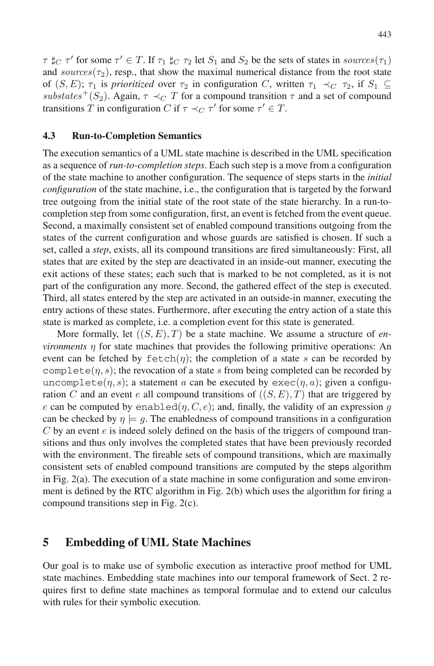$\tau \sharp_C \tau'$  for some  $\tau' \in T$ . If  $\tau_1 \sharp_C \tau_2$  let  $S_1$  and  $S_2$  be the sets of states in sources $(\tau_1)$ and sources( $\tau_2$ ), resp., that show the maximal numerical distance from the root state of  $(S, E)$ ;  $\tau_1$  is *prioritized* over  $\tau_2$  in configuration C, written  $\tau_1 \prec_C \tau_2$ , if  $S_1 \subseteq$ substates<sup>+</sup>(S<sub>2</sub>). Again,  $\tau \prec_C T$  for a compound transition  $\tau$  and a set of compound transitions T in configuration C if  $\tau \prec_C \tau'$  for some  $\tau' \in T$ .

### **4.3 Run-to-Completion Semantics**

The execution semantics of a UML state machine is described in the UML specification as a sequence of *run-to-completion steps*. Each such step is a move from a configuration of the state machine to another configuration. The sequence of steps starts in the *initial configuration* of the state machine, i.e., the configuration that is targeted by the forward tree outgoing from the initial state of the root state of the state hierarchy. In a run-tocompletion step from some configuration, first, an event is fetched from the event queue. Second, a maximally consistent set of enabled compound transitions outgoing from the states of the current configuration and whose guards are satisfied is chosen. If such a set, called a *step*, exists, all its compound transitions are fired simultaneously: First, all states that are exited by the step are deactivated in an inside-out manner, executing the exit actions of these states; each such that is marked to be not completed, as it is not part of the configuration any more. Second, the gathered effect of the step is executed. Third, all states entered by the step are activated in an outside-in manner, executing the entry actions of these states. Furthermore, after executing the entry action of a state this state is marked as complete, i.e. a completion event for this state is generated.

More formally, let  $((S, E), T)$  be a state machine. We assume a structure of *environments* η for state machines that provides the following primitive operations: An event can be fetched by  $fectch(\eta)$ ; the completion of a state s can be recorded by complete( $\eta$ , s); the revocation of a state s from being completed can be recorded by uncomplete $(\eta, s)$ ; a statement a can be executed by exec $(\eta, a)$ ; given a configuration C and an event e all compound transitions of  $((S, E), T)$  that are triggered by e can be computed by enabled $(\eta, C, e)$ ; and, finally, the validity of an expression g can be checked by  $\eta \models q$ . The enabledness of compound transitions in a configuration  $C$  by an event  $e$  is indeed solely defined on the basis of the triggers of compound transitions and thus only involves the completed states that have been previously recorded with the environment. The fireable sets of compound transitions, which are maximally consistent sets of enabled compound transitions are computed by the steps algorithm in Fig. 2(a). The execution of a state machine in some configuration and some environment is defined by the RTC algorithm in Fig. 2(b) which uses the algorithm for firing a compound transitions step in Fig. 2(c).

### **5 Embedding of UML State Machines**

Our goal is to make use of symbolic execution as interactive proof method for UML state machines. Embedding state machines into our temporal framework of Sect. 2 requires first to define state machines as temporal formulae and to extend our calculus with rules for their symbolic execution.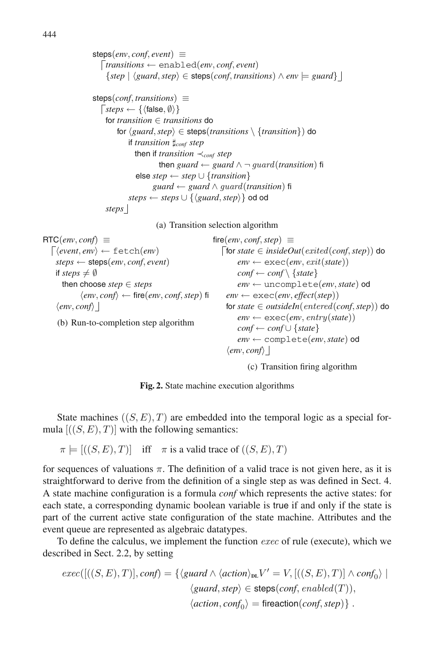```
steps(\text{env}, \text{conf}, \text{event}) \equiv\lceiltransitions \leftarrow enabled(env, conf, event)
  \{step \mid \langle guard, step \rangle \in steps(conf, transitions) \land env \models guard\}steps(conf, transitions) ≡
\lceilsteps \leftarrow {\langle false, \emptyset}}
 for transition ∈ transitions do
      for \langleguard,step\rangle \insteps\langletransitions \setminus \{transition\}\}do
           if transition \sharp_{\text{conf}} step
             then if transition \prec_{\textit{conf}} step
                      then guard \leftarrow guard \wedge \neg quard(transition) fi
             else step ← step \cup {transition}
                    guard ← guard \land guard(transition) fi
          steps ← steps \cup { \langleguard, step\rangle} od od
 steps
```
(a) Transition selection algorithm

```
RTC(\text{env}, \text{conf}) \equiv\lceil \langle event, env \rangle \leftarrow \text{fetch}(env)steps \leftarrow steps(\text{env}, \text{conf}, \text{event})if steps \neq \emptysetthen choose step ∈ steps
           \langle env, conf \rangle \leftarrow fire(exp, conf, step) fi
  \langle env, cont \rangle(b) Run-to-completion step algorithm
                                                            fire(\text{env}, \text{conf}, \text{step}) \equivfor state ∈ insideOut(exited(conf,step)) do
                                                                     env \leftarrow exec(env, exit(state))
                                                                     conf \leftarrow conf \setminus \{state\}env ← uncomplete(env,state) od
                                                                 env \leftarrow exec(env, effect(step))
                                                                 for state \in outsideIn(entered(conf, step)) do
                                                                     env \leftarrow exec(env, entry(state))
                                                                     conf ← conf ∪ {state}
                                                                     env ← complete(env,state) od
                                                                 \langle env, cont \rangle
```
(c) Transition firing algorithm

**Fig. 2.** State machine execution algorithms

State machines  $((S, E), T)$  are embedded into the temporal logic as a special formula  $[(S, E), T)]$  with the following semantics:

 $\pi \models [(S, E), T)]$  iff  $\pi$  is a valid trace of  $((S, E), T)$ 

for sequences of valuations  $\pi$ . The definition of a valid trace is not given here, as it is straightforward to derive from the definition of a single step as was defined in Sect. 4. A state machine configuration is a formula *conf* which represents the active states: for each state, a corresponding dynamic boolean variable is true if and only if the state is part of the current active state configuration of the state machine. Attributes and the event queue are represented as algebraic datatypes.

To define the calculus, we implement the function exec of rule (execute), which we described in Sect. 2.2, by setting

$$
exec([((S, E), T)], conf) = \{ \langle guard \land \langle action \rangle_{\text{DL}} V' = V, [((S, E), T)] \land conf_0 \rangle \mid \langle guard, step \rangle \in \text{steps}(conf, enabled(T)), \langle action, conf_0 \rangle = \text{fireaction}(conf, step) \}.
$$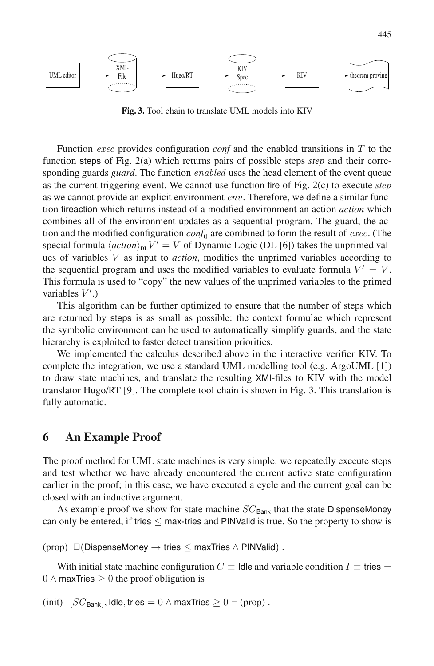

**Fig. 3.** Tool chain to translate UML models into KIV

Function exec provides configuration *conf* and the enabled transitions in T to the function steps of Fig. 2(a) which returns pairs of possible steps *step* and their corresponding guards *guard*. The function enabled uses the head element of the event queue as the current triggering event. We cannot use function fire of Fig. 2(c) to execute *step* as we cannot provide an explicit environment env. Therefore, we define a similar function fireaction which returns instead of a modified environment an action *action* which combines all of the environment updates as a sequential program. The guard, the action and the modified configuration *conf*<sup>0</sup> are combined to form the result of exec. (The special formula  $\langle action \rangle_{\text{DL}} V' = V$  of Dynamic Logic (DL [6]) takes the unprimed values of variables V as input to *action*, modifies the unprimed variables according to the sequential program and uses the modified variables to evaluate formula  $V' = V$ . This formula is used to "copy" the new values of the unprimed variables to the primed variables  $V'.$ )

This algorithm can be further optimized to ensure that the number of steps which are returned by steps is as small as possible: the context formulae which represent the symbolic environment can be used to automatically simplify guards, and the state hierarchy is exploited to faster detect transition priorities.

We implemented the calculus described above in the interactive verifier KIV. To complete the integration, we use a standard UML modelling tool (e.g. ArgoUML [1]) to draw state machines, and translate the resulting XMI-files to KIV with the model translator Hugo/RT [9]. The complete tool chain is shown in Fig. 3. This translation is fully automatic.

### **6 An Example Proof**

The proof method for UML state machines is very simple: we repeatedly execute steps and test whether we have already encountered the current active state configuration earlier in the proof; in this case, we have executed a cycle and the current goal can be closed with an inductive argument.

As example proof we show for state machine  $SC_{\text{Bank}}$  that the state DispenseMoney can only be entered, if tries  $\leq$  max-tries and PINValid is true. So the property to show is

(prop)  $\Box$ (DispenseMoney  $\rightarrow$  tries  $\leq$  maxTries  $\land$  PINValid).

With initial state machine configuration  $C \equiv$  Idle and variable condition  $I \equiv$  tries =  $0 \wedge$  maxTries  $\geq 0$  the proof obligation is

(init)  $[SC_{Bank}]$ , Idle, tries = 0  $\land$  maxTries  $\geq 0 \vdash$  (prop).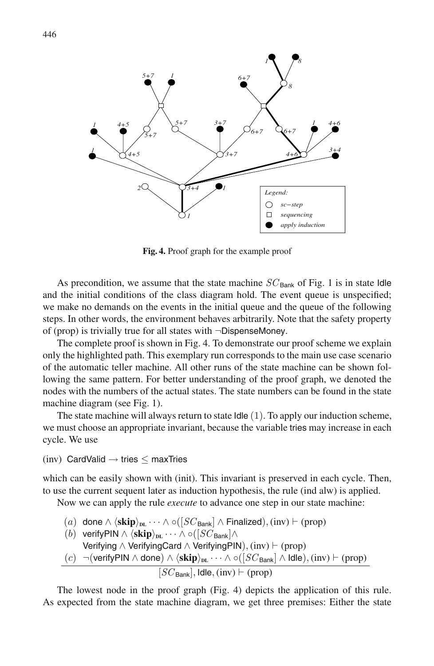

**Fig. 4.** Proof graph for the example proof

As precondition, we assume that the state machine  $SC_{Bank}$  of Fig. 1 is in state Idle and the initial conditions of the class diagram hold. The event queue is unspecified; we make no demands on the events in the initial queue and the queue of the following steps. In other words, the environment behaves arbitrarily. Note that the safety property of (prop) is trivially true for all states with  $\neg$ DispenseMoney.

The complete proof is shown in Fig. 4. To demonstrate our proof scheme we explain only the highlighted path. This exemplary run corresponds to the main use case scenario of the automatic teller machine. All other runs of the state machine can be shown following the same pattern. For better understanding of the proof graph, we denoted the nodes with the numbers of the actual states. The state numbers can be found in the state machine diagram (see Fig. 1).

The state machine will always return to state Idle  $(1)$ . To apply our induction scheme, we must choose an appropriate invariant, because the variable tries may increase in each cycle. We use

(inv) CardValid  $\rightarrow$  tries  $\leq$  maxTries

which can be easily shown with (init). This invariant is preserved in each cycle. Then, to use the current sequent later as induction hypothesis, the rule (ind alw) is applied.

Now we can apply the rule *execute* to advance one step in our state machine:

(a) done 
$$
\wedge \langle \textbf{skip} \rangle_{\text{DL}} \cdots \wedge \circ ([SC_{\text{Bank}}] \wedge \text{Finalized}), (\text{inv}) \vdash (\text{prop})
$$

 $(b)$  verifyPIN ∧  $\langle$ **skip** $\rangle_{\text{DL}}$   $\cdots$  ∧  $\circ$  ( $[SC_{\text{Bank}}]$ ∧ Verifying  $\land$  VerifyingCard  $\land$  VerifyingPIN), (inv)  $\vdash$  (prop) (c)  $\neg$ (**verifyPIN** ∧ done) ∧  $\langle$ **skip** $\rangle_{\text{DL}}$  · · · ∧  $\circ$ ([ $SC_{\text{Bank}}$ ] ∧ Idle),(inv)  $\vdash$  (prop)  $[SC_{\text{Rank}}]$ , Idle,  $(i\text{nv}) \vdash (prop)$ 

The lowest node in the proof graph (Fig. 4) depicts the application of this rule. As expected from the state machine diagram, we get three premises: Either the state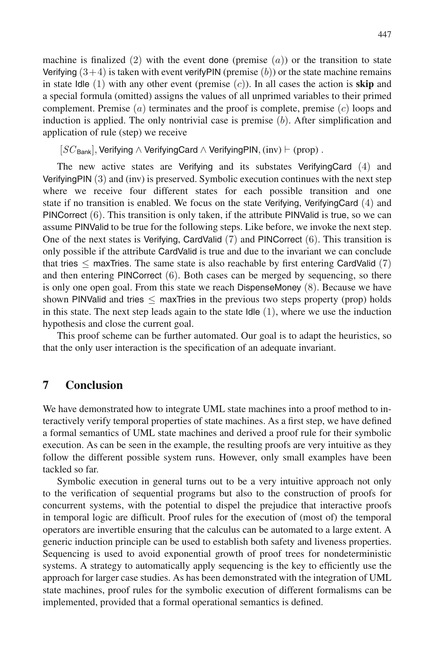machine is finalized  $(2)$  with the event done (premise  $(a)$ ) or the transition to state Verifying  $(3+4)$  is taken with event verifyPIN (premise  $(b)$ ) or the state machine remains in state Idle  $(1)$  with any other event (premise  $(c)$ ). In all cases the action is **skip** and a special formula (omitted) assigns the values of all unprimed variables to their primed complement. Premise (a) terminates and the proof is complete, premise (c) loops and induction is applied. The only nontrivial case is premise  $(b)$ . After simplification and application of rule (step) we receive

 $[SC_{\text{Bank}}]$ , Verifying ∧ VerifyingCard ∧ VerifyingPIN, (inv)  $\vdash$  (prop).

The new active states are Verifying and its substates VerifyingCard (4) and VerifyingPIN (3) and (inv) is preserved. Symbolic execution continues with the next step where we receive four different states for each possible transition and one state if no transition is enabled. We focus on the state Verifying, VerifyingCard (4) and PINCorrect (6). This transition is only taken, if the attribute PINValid is true, so we can assume PINValid to be true for the following steps. Like before, we invoke the next step. One of the next states is Verifying, CardValid  $(7)$  and PINCorrect  $(6)$ . This transition is only possible if the attribute CardValid is true and due to the invariant we can conclude that tries  $\leq$  maxTries. The same state is also reachable by first entering CardValid (7) and then entering PINCorrect (6). Both cases can be merged by sequencing, so there is only one open goal. From this state we reach DispenseMoney (8). Because we have shown PINValid and tries  $\leq$  maxTries in the previous two steps property (prop) holds in this state. The next step leads again to the state  $\text{Id}$  Idle  $(1)$ , where we use the induction hypothesis and close the current goal.

This proof scheme can be further automated. Our goal is to adapt the heuristics, so that the only user interaction is the specification of an adequate invariant.

### **7 Conclusion**

We have demonstrated how to integrate UML state machines into a proof method to interactively verify temporal properties of state machines. As a first step, we have defined a formal semantics of UML state machines and derived a proof rule for their symbolic execution. As can be seen in the example, the resulting proofs are very intuitive as they follow the different possible system runs. However, only small examples have been tackled so far.

Symbolic execution in general turns out to be a very intuitive approach not only to the verification of sequential programs but also to the construction of proofs for concurrent systems, with the potential to dispel the prejudice that interactive proofs in temporal logic are difficult. Proof rules for the execution of (most of) the temporal operators are invertible ensuring that the calculus can be automated to a large extent. A generic induction principle can be used to establish both safety and liveness properties. Sequencing is used to avoid exponential growth of proof trees for nondeterministic systems. A strategy to automatically apply sequencing is the key to efficiently use the approach for larger case studies. As has been demonstrated with the integration of UML state machines, proof rules for the symbolic execution of different formalisms can be implemented, provided that a formal operational semantics is defined.